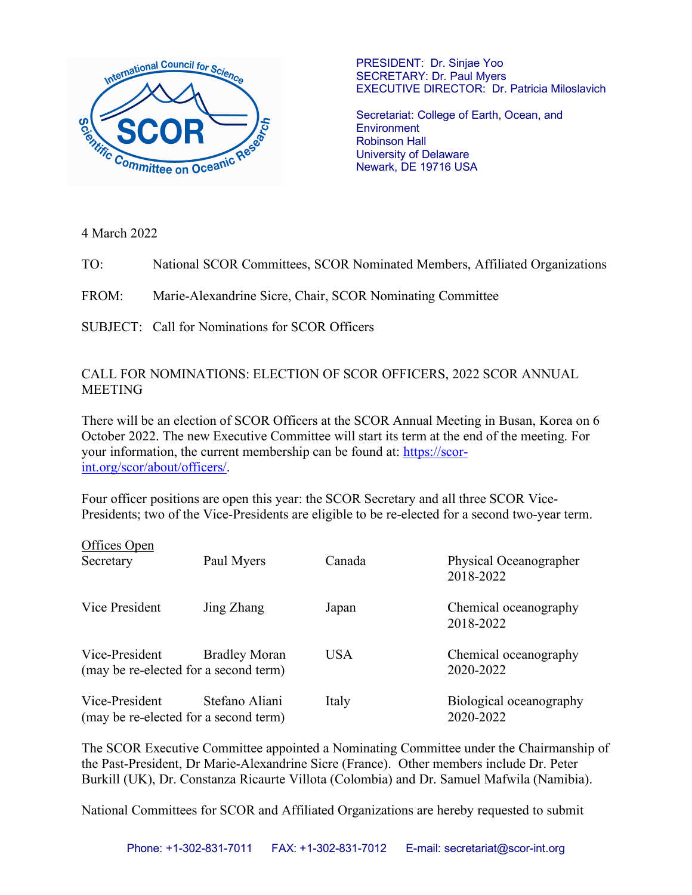

PRESIDENT: Dr. Sinjae Yoo SECRETARY: Dr. Paul Myers EXECUTIVE DIRECTOR: Dr. Patricia Miloslavich

Secretariat: College of Earth, Ocean, and **Environment** Robinson Hall University of Delaware Newark, DE 19716 USA

4 March 2022

TO: National SCOR Committees, SCOR Nominated Members, Affiliated Organizations

FROM: Marie-Alexandrine Sicre, Chair, SCOR Nominating Committee

SUBJECT: Call for Nominations for SCOR Officers

## CALL FOR NOMINATIONS: ELECTION OF SCOR OFFICERS, 2022 SCOR ANNUAL **MEETING**

There will be an election of SCOR Officers at the SCOR Annual Meeting in Busan, Korea on 6 October 2022. The new Executive Committee will start its term at the end of the meeting. For your information, the current membership can be found at: https://scorint.org/scor/about/officers/.

Four officer positions are open this year: the SCOR Secretary and all three SCOR Vice-Presidents; two of the Vice-Presidents are eligible to be re-elected for a second two-year term.

| Offices Open                                            |                      |            |                                      |
|---------------------------------------------------------|----------------------|------------|--------------------------------------|
| Secretary                                               | Paul Myers           | Canada     | Physical Oceanographer<br>2018-2022  |
| Vice President                                          | Jing Zhang           | Japan      | Chemical oceanography<br>2018-2022   |
| Vice-President<br>(may be re-elected for a second term) | <b>Bradley Moran</b> | <b>USA</b> | Chemical oceanography<br>2020-2022   |
| Vice-President<br>(may be re-elected for a second term) | Stefano Aliani       | Italy      | Biological oceanography<br>2020-2022 |

The SCOR Executive Committee appointed a Nominating Committee under the Chairmanship of the Past-President, Dr Marie-Alexandrine Sicre (France). Other members include Dr. Peter Burkill (UK), Dr. Constanza Ricaurte Villota (Colombia) and Dr. Samuel Mafwila (Namibia).

National Committees for SCOR and Affiliated Organizations are hereby requested to submit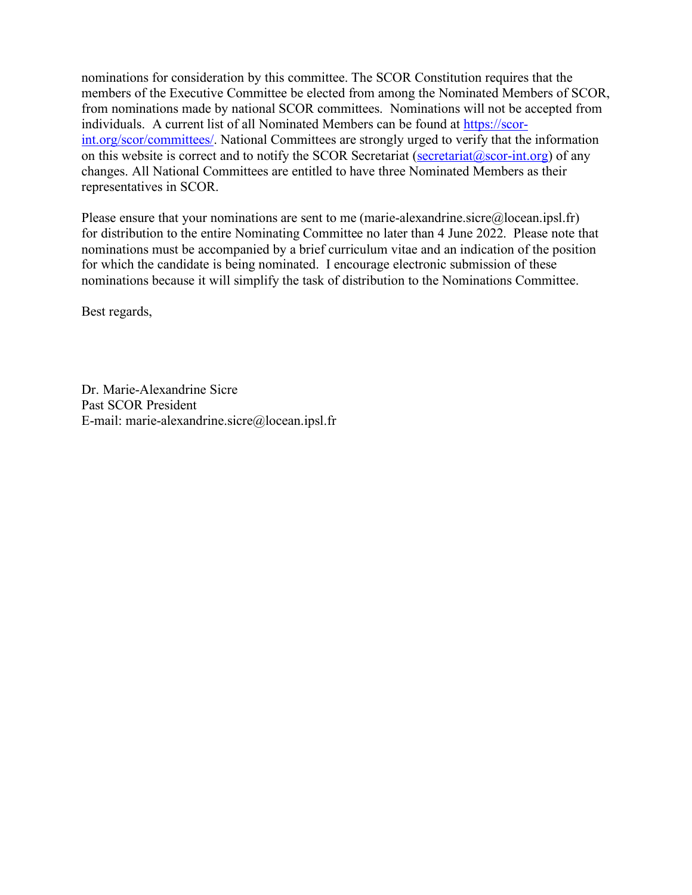nominations for consideration by this committee. The SCOR Constitution requires that the members of the Executive Committee be elected from among the Nominated Members of SCOR, from nominations made by national SCOR committees. Nominations will not be accepted from individuals. A current list of all Nominated Members can be found at https://scorint.org/scor/committees/. National Committees are strongly urged to verify that the information on this website is correct and to notify the SCOR Secretariat (secretariat  $(a)$  scor-int.org) of any changes. All National Committees are entitled to have three Nominated Members as their representatives in SCOR.

Please ensure that your nominations are sent to me (marie-alexandrine.sicre@locean.ipsl.fr) for distribution to the entire Nominating Committee no later than 4 June 2022. Please note that nominations must be accompanied by a brief curriculum vitae and an indication of the position for which the candidate is being nominated. I encourage electronic submission of these nominations because it will simplify the task of distribution to the Nominations Committee.

Best regards,

Dr. Marie-Alexandrine Sicre Past SCOR President E-mail: marie-alexandrine.sicre@locean.ipsl.fr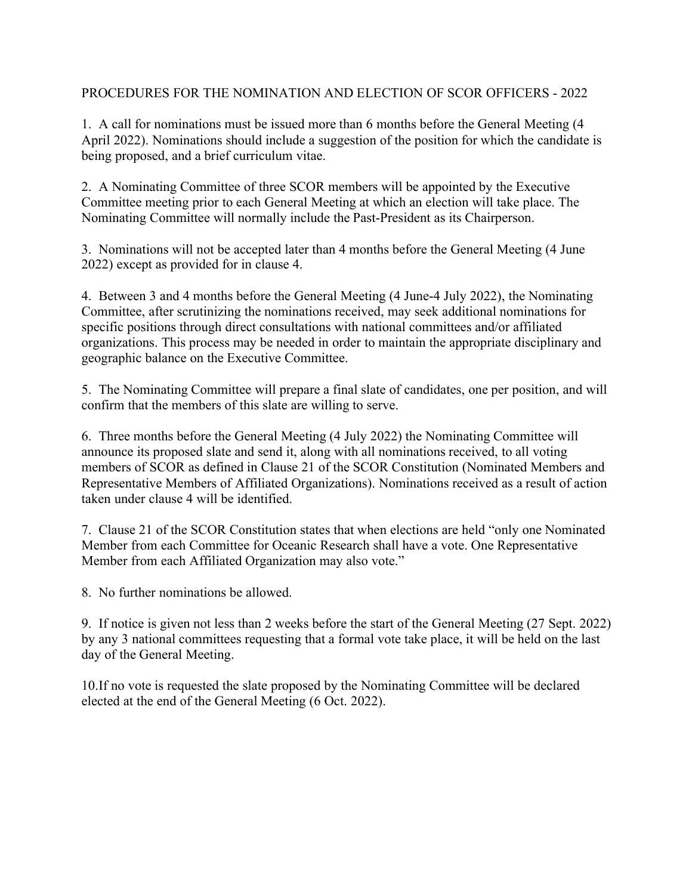## PROCEDURES FOR THE NOMINATION AND ELECTION OF SCOR OFFICERS - 2022

1. A call for nominations must be issued more than 6 months before the General Meeting (4 April 2022). Nominations should include a suggestion of the position for which the candidate is being proposed, and a brief curriculum vitae.

2. A Nominating Committee of three SCOR members will be appointed by the Executive Committee meeting prior to each General Meeting at which an election will take place. The Nominating Committee will normally include the Past-President as its Chairperson.

3. Nominations will not be accepted later than 4 months before the General Meeting (4 June 2022) except as provided for in clause 4.

4. Between 3 and 4 months before the General Meeting (4 June-4 July 2022), the Nominating Committee, after scrutinizing the nominations received, may seek additional nominations for specific positions through direct consultations with national committees and/or affiliated organizations. This process may be needed in order to maintain the appropriate disciplinary and geographic balance on the Executive Committee.

5. The Nominating Committee will prepare a final slate of candidates, one per position, and will confirm that the members of this slate are willing to serve.

6. Three months before the General Meeting (4 July 2022) the Nominating Committee will announce its proposed slate and send it, along with all nominations received, to all voting members of SCOR as defined in Clause 21 of the SCOR Constitution (Nominated Members and Representative Members of Affiliated Organizations). Nominations received as a result of action taken under clause 4 will be identified.

7. Clause 21 of the SCOR Constitution states that when elections are held "only one Nominated Member from each Committee for Oceanic Research shall have a vote. One Representative Member from each Affiliated Organization may also vote."

8. No further nominations be allowed.

9. If notice is given not less than 2 weeks before the start of the General Meeting (27 Sept. 2022) by any 3 national committees requesting that a formal vote take place, it will be held on the last day of the General Meeting.

10.If no vote is requested the slate proposed by the Nominating Committee will be declared elected at the end of the General Meeting (6 Oct. 2022).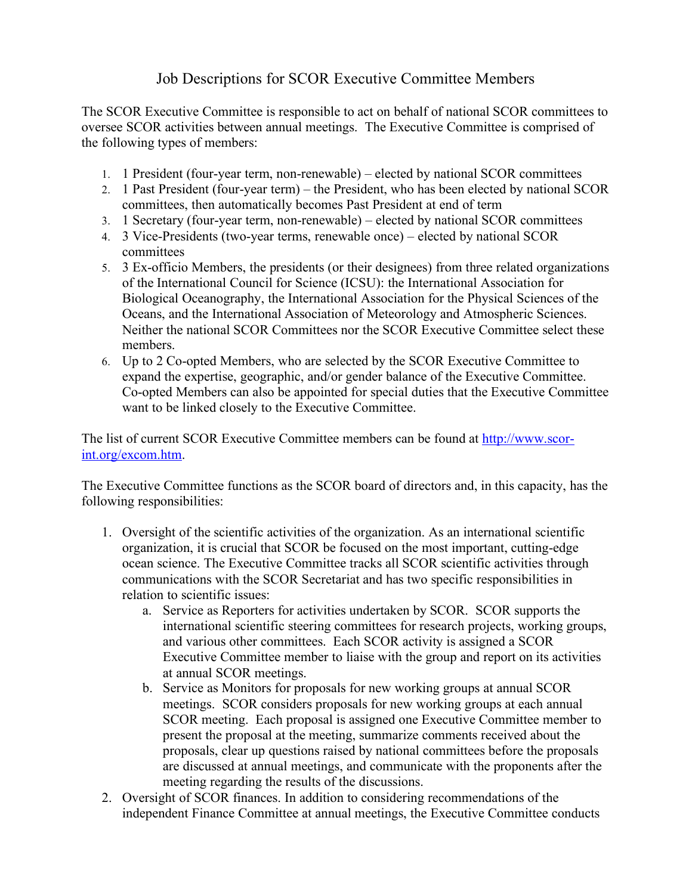## Job Descriptions for SCOR Executive Committee Members

The SCOR Executive Committee is responsible to act on behalf of national SCOR committees to oversee SCOR activities between annual meetings. The Executive Committee is comprised of the following types of members:

- 1. 1 President (four-year term, non-renewable) elected by national SCOR committees
- 2. 1 Past President (four-year term) the President, who has been elected by national SCOR committees, then automatically becomes Past President at end of term
- 3. 1 Secretary (four-year term, non-renewable) elected by national SCOR committees
- 4. 3 Vice-Presidents (two-year terms, renewable once) elected by national SCOR committees
- 5. 3 Ex-officio Members, the presidents (or their designees) from three related organizations of the International Council for Science (ICSU): the International Association for Biological Oceanography, the International Association for the Physical Sciences of the Oceans, and the International Association of Meteorology and Atmospheric Sciences. Neither the national SCOR Committees nor the SCOR Executive Committee select these members.
- 6. Up to 2 Co-opted Members, who are selected by the SCOR Executive Committee to expand the expertise, geographic, and/or gender balance of the Executive Committee. Co-opted Members can also be appointed for special duties that the Executive Committee want to be linked closely to the Executive Committee.

The list of current SCOR Executive Committee members can be found at http://www.scorint.org/excom.htm.

The Executive Committee functions as the SCOR board of directors and, in this capacity, has the following responsibilities:

- 1. Oversight of the scientific activities of the organization. As an international scientific organization, it is crucial that SCOR be focused on the most important, cutting-edge ocean science. The Executive Committee tracks all SCOR scientific activities through communications with the SCOR Secretariat and has two specific responsibilities in relation to scientific issues:
	- a. Service as Reporters for activities undertaken by SCOR. SCOR supports the international scientific steering committees for research projects, working groups, and various other committees. Each SCOR activity is assigned a SCOR Executive Committee member to liaise with the group and report on its activities at annual SCOR meetings.
	- b. Service as Monitors for proposals for new working groups at annual SCOR meetings. SCOR considers proposals for new working groups at each annual SCOR meeting. Each proposal is assigned one Executive Committee member to present the proposal at the meeting, summarize comments received about the proposals, clear up questions raised by national committees before the proposals are discussed at annual meetings, and communicate with the proponents after the meeting regarding the results of the discussions.
- 2. Oversight of SCOR finances. In addition to considering recommendations of the independent Finance Committee at annual meetings, the Executive Committee conducts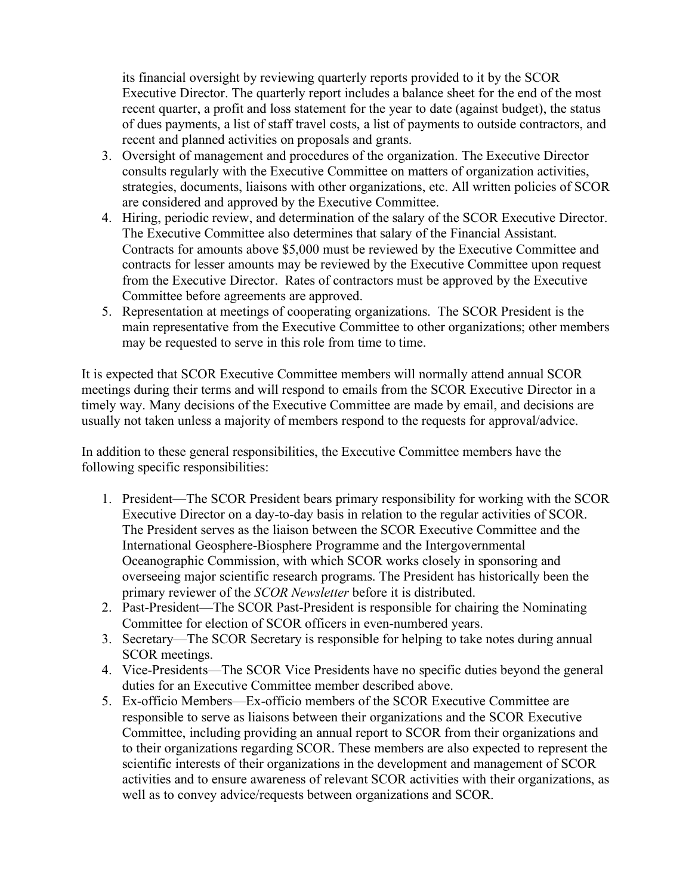its financial oversight by reviewing quarterly reports provided to it by the SCOR Executive Director. The quarterly report includes a balance sheet for the end of the most recent quarter, a profit and loss statement for the year to date (against budget), the status of dues payments, a list of staff travel costs, a list of payments to outside contractors, and recent and planned activities on proposals and grants.

- 3. Oversight of management and procedures of the organization. The Executive Director consults regularly with the Executive Committee on matters of organization activities, strategies, documents, liaisons with other organizations, etc. All written policies of SCOR are considered and approved by the Executive Committee.
- 4. Hiring, periodic review, and determination of the salary of the SCOR Executive Director. The Executive Committee also determines that salary of the Financial Assistant. Contracts for amounts above \$5,000 must be reviewed by the Executive Committee and contracts for lesser amounts may be reviewed by the Executive Committee upon request from the Executive Director. Rates of contractors must be approved by the Executive Committee before agreements are approved.
- 5. Representation at meetings of cooperating organizations. The SCOR President is the main representative from the Executive Committee to other organizations; other members may be requested to serve in this role from time to time.

It is expected that SCOR Executive Committee members will normally attend annual SCOR meetings during their terms and will respond to emails from the SCOR Executive Director in a timely way. Many decisions of the Executive Committee are made by email, and decisions are usually not taken unless a majority of members respond to the requests for approval/advice.

In addition to these general responsibilities, the Executive Committee members have the following specific responsibilities:

- 1. President—The SCOR President bears primary responsibility for working with the SCOR Executive Director on a day-to-day basis in relation to the regular activities of SCOR. The President serves as the liaison between the SCOR Executive Committee and the International Geosphere-Biosphere Programme and the Intergovernmental Oceanographic Commission, with which SCOR works closely in sponsoring and overseeing major scientific research programs. The President has historically been the primary reviewer of the *SCOR Newsletter* before it is distributed.
- 2. Past-President—The SCOR Past-President is responsible for chairing the Nominating Committee for election of SCOR officers in even-numbered years.
- 3. Secretary—The SCOR Secretary is responsible for helping to take notes during annual SCOR meetings.
- 4. Vice-Presidents—The SCOR Vice Presidents have no specific duties beyond the general duties for an Executive Committee member described above.
- 5. Ex-officio Members—Ex-officio members of the SCOR Executive Committee are responsible to serve as liaisons between their organizations and the SCOR Executive Committee, including providing an annual report to SCOR from their organizations and to their organizations regarding SCOR. These members are also expected to represent the scientific interests of their organizations in the development and management of SCOR activities and to ensure awareness of relevant SCOR activities with their organizations, as well as to convey advice/requests between organizations and SCOR.